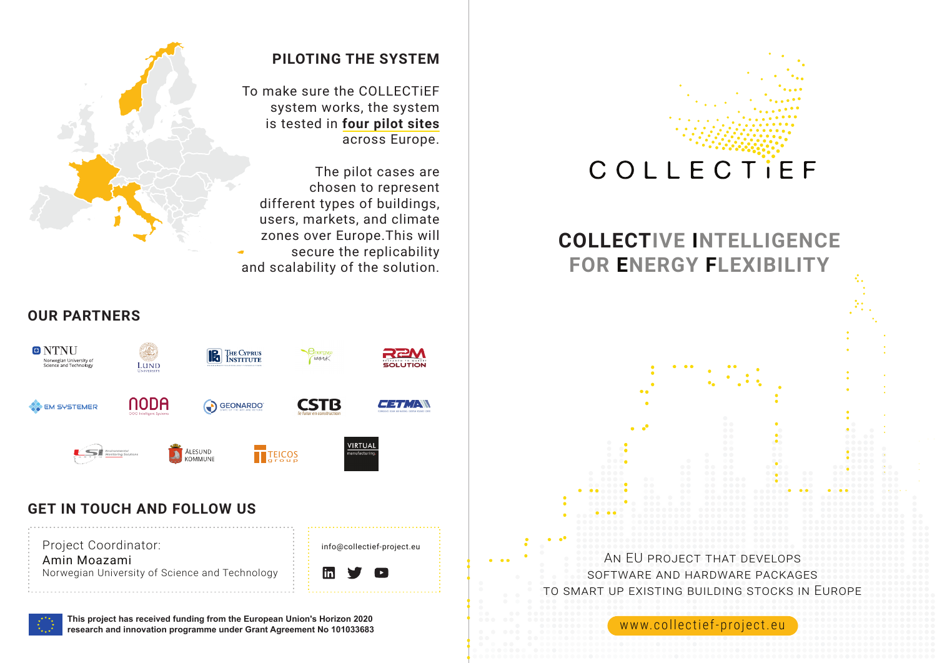

# **COLLECTIVE INTELLIGENCE FOR ENERGY FLEXIBILITY**

AN EU PROJECT THAT DEVELOPS SOFTWARE AND HARDWARE PACKAGES TO SMART UP EXISTING BUILDING STOCKS IN EUROPE

www.collectief-project.eu

## **PILOTING THE SYSTEM**

To make sure the COLLECTiEF system works, the system is tested in **four pilot sites** across Europe.

The pilot cases are chosen to represent different types of buildings, users, markets, and climate zones over Europe.This will secure the replicability and scalability of the solution.





## **GET IN TOUCH AND FOLLOW US**



**This project has received funding from the European Union's Horizon 2020 research and innovation programme under Grant Agreement No 101033683**